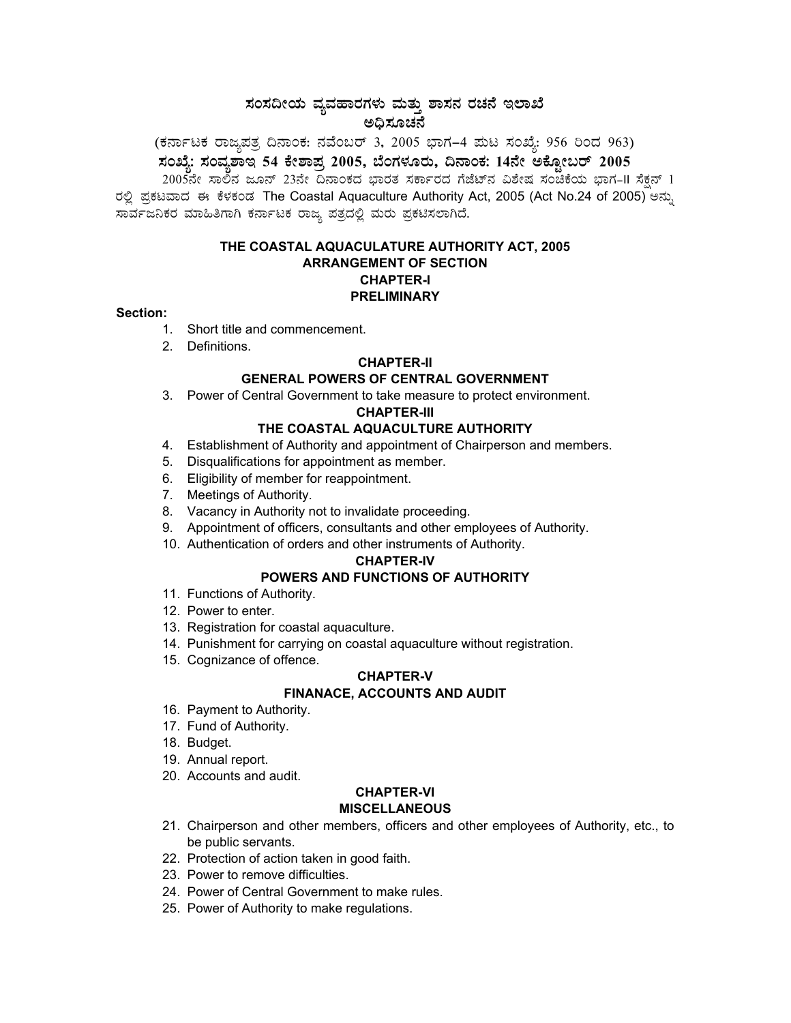# ಸಂಸದೀಯ ವ್ಯವಹಾರಗಳು ಮತ್ತು ಶಾಸನ ರಚನೆ ಇಲಾಖೆ<br>ಅಧಿಸೂಚನೆ

(ಕರ್ನಾಟಕ ರಾಜ್ಯಪತ್ರ ದಿನಾಂಕ: ನವೆಂಬರ್ 3, 2005 ಭಾಗ–4 ಮಟ ಸಂಖ್ಯೆ: 956 ರಿಂದ 963)<br><mark>ಸಂಖ್ಯೆ: ಸಂವ್ಯಶಾ</mark>ಇ 54 ಕೇಶಾಪ್ರ 2005, ಬೆಂಗಳೂರು, ದಿನಾಂಕ: 14ನೇ ಅಕ್ಟೋಬರ್ 2005

2005ನೇ ಸಾಲಿನ ಜೂನ್ 23ನೇ ದಿನಾಂಕದ ಭಾರತ ಸರ್ಕಾರದ ಗೆಜೆಟ್ನ ವಿಶೇಷ ಸಂಚಿಕೆಯ ಭಾಗ-II ಸೆಕ್ಷನ್ 1 ರಲ್ಲಿ ಪ್ರಕಟವಾದ ಈ ಕೆಳಕಂಡ The Coastal Aquaculture Authority Act, 2005 (Act No.24 of 2005) ಅನ್ನು ಸಾರ್ವಜನಿಕರ ಮಾಹಿತಿಗಾಗಿ ಕರ್ನಾಟಕ ರಾಜ್ಯ ಪತ್ರದಲ್ಲಿ ಮರು ಪ್ರಕಟಿಸಲಾಗಿದೆ.

## THE COASTAL AQUACULATURE AUTHORITY ACT, 2005 **ARRANGEMENT OF SECTION CHAPTER-I PRELIMINARY**

#### Section:

- 1. Short title and commencement.
- 2. Definitions.

#### **CHAPTER-II**

# **GENERAL POWERS OF CENTRAL GOVERNMENT**

3. Power of Central Government to take measure to protect environment.

#### **CHAPTER-III**

# THE COASTAL AQUACULTURE AUTHORITY

- 4. Establishment of Authority and appointment of Chairperson and members.
- 5. Disqualifications for appointment as member.
- 6. Eligibility of member for reappointment.
- 7. Meetings of Authority.
- 8. Vacancy in Authority not to invalidate proceeding.
- 9. Appointment of officers, consultants and other employees of Authority.
- 10. Authentication of orders and other instruments of Authority.

#### **CHAPTER-IV**

# POWERS AND FUNCTIONS OF AUTHORITY

- 11. Functions of Authority.
- 12. Power to enter.
- 13. Registration for coastal aquaculture.
- 14. Punishment for carrying on coastal aquaculture without registration.
- 15. Cognizance of offence.

#### **CHAPTER-V FINANACE, ACCOUNTS AND AUDIT**

- 16. Payment to Authority.
- 17. Fund of Authority.
- 18. Budget.
- 19. Annual report.
- 20. Accounts and audit.

#### **CHAPTER-VI MISCELLANEOUS**

- 21. Chairperson and other members, officers and other employees of Authority, etc., to be public servants.
- 22. Protection of action taken in good faith.
- 23. Power to remove difficulties.
- 24. Power of Central Government to make rules.
- 25. Power of Authority to make regulations.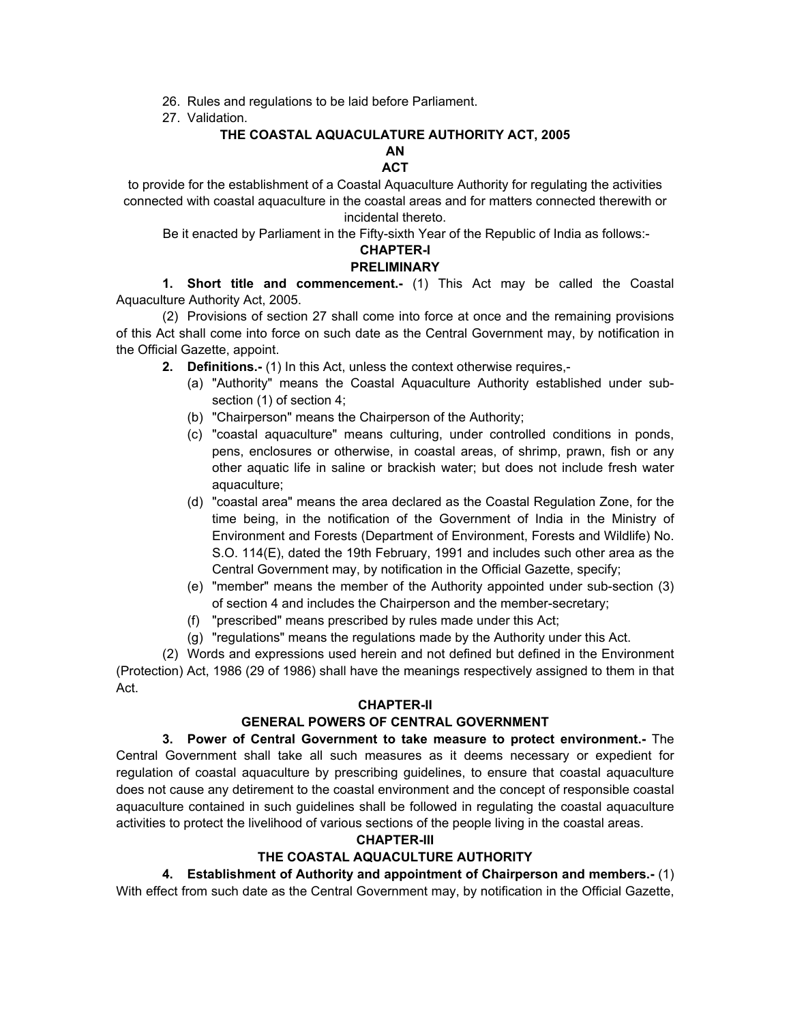- 26. Rules and regulations to be laid before Parliament.
- 27. Validation.

# **THE COASTAL AQUACULATURE AUTHORITY ACT, 2005 AN**

# **ACT**

to provide for the establishment of a Coastal Aquaculture Authority for regulating the activities connected with coastal aquaculture in the coastal areas and for matters connected therewith or incidental thereto.

Be it enacted by Parliament in the Fifty-sixth Year of the Republic of India as follows:-

# **CHAPTER-I**

#### **PRELIMINARY**

**1. Short title and commencement.-** (1) This Act may be called the Coastal Aquaculture Authority Act, 2005.

(2) Provisions of section 27 shall come into force at once and the remaining provisions of this Act shall come into force on such date as the Central Government may, by notification in the Official Gazette, appoint.

 **2. Definitions.-** (1) In this Act, unless the context otherwise requires,-

- (a) "Authority" means the Coastal Aquaculture Authority established under subsection (1) of section 4;
- (b) "Chairperson" means the Chairperson of the Authority;
- (c) "coastal aquaculture" means culturing, under controlled conditions in ponds, pens, enclosures or otherwise, in coastal areas, of shrimp, prawn, fish or any other aquatic life in saline or brackish water; but does not include fresh water aquaculture;
- (d) "coastal area" means the area declared as the Coastal Regulation Zone, for the time being, in the notification of the Government of India in the Ministry of Environment and Forests (Department of Environment, Forests and Wildlife) No. S.O. 114(E), dated the 19th February, 1991 and includes such other area as the Central Government may, by notification in the Official Gazette, specify;
- (e) "member" means the member of the Authority appointed under sub-section (3) of section 4 and includes the Chairperson and the member-secretary;
- (f) "prescribed" means prescribed by rules made under this Act;
- (g) "regulations" means the regulations made by the Authority under this Act.

(2) Words and expressions used herein and not defined but defined in the Environment (Protection) Act, 1986 (29 of 1986) shall have the meanings respectively assigned to them in that Act.

#### **CHAPTER-II**

# **GENERAL POWERS OF CENTRAL GOVERNMENT**

# **3. Power of Central Government to take measure to protect environment.-** The

Central Government shall take all such measures as it deems necessary or expedient for regulation of coastal aquaculture by prescribing guidelines, to ensure that coastal aquaculture does not cause any detirement to the coastal environment and the concept of responsible coastal aquaculture contained in such guidelines shall be followed in regulating the coastal aquaculture activities to protect the livelihood of various sections of the people living in the coastal areas.

#### **CHAPTER-III**

# **THE COASTAL AQUACULTURE AUTHORITY**

**4. Establishment of Authority and appointment of Chairperson and members.-** (1)

With effect from such date as the Central Government may, by notification in the Official Gazette,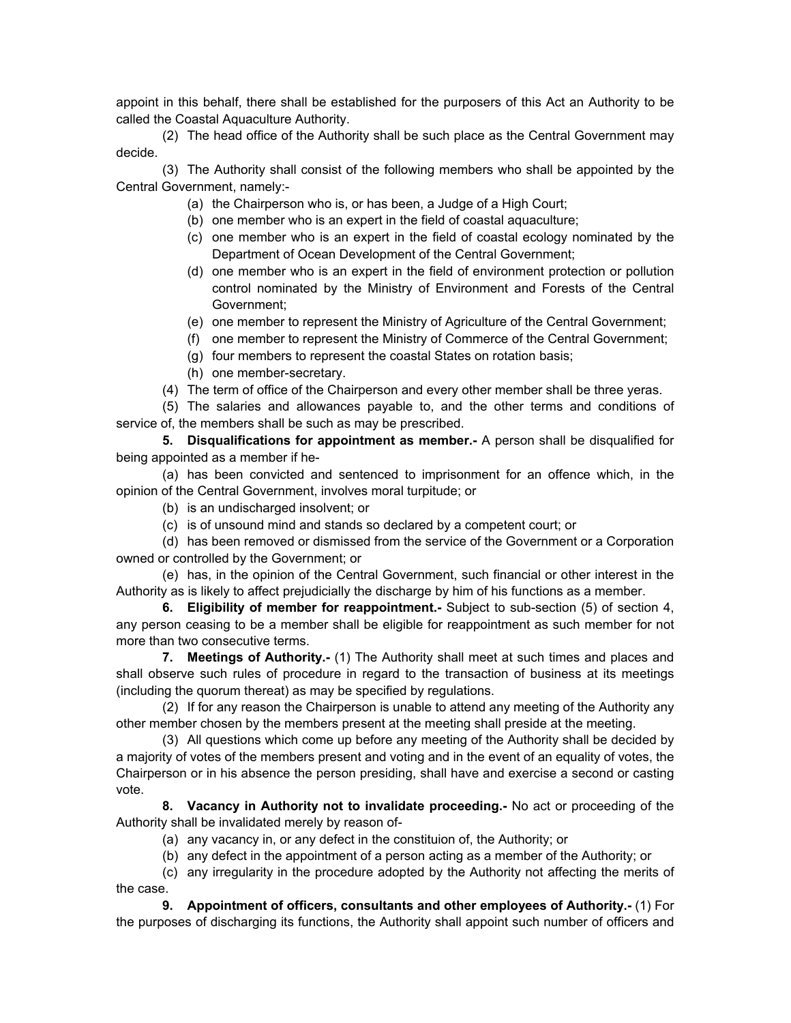appoint in this behalf, there shall be established for the purposers of this Act an Authority to be called the Coastal Aquaculture Authority.

(2) The head office of the Authority shall be such place as the Central Government may decide.

(3) The Authority shall consist of the following members who shall be appointed by the Central Government, namely:-

- (a) the Chairperson who is, or has been, a Judge of a High Court;
- (b) one member who is an expert in the field of coastal aquaculture;
- (c) one member who is an expert in the field of coastal ecology nominated by the Department of Ocean Development of the Central Government;
- (d) one member who is an expert in the field of environment protection or pollution control nominated by the Ministry of Environment and Forests of the Central Government;
- (e) one member to represent the Ministry of Agriculture of the Central Government;
- (f) one member to represent the Ministry of Commerce of the Central Government;
- (g) four members to represent the coastal States on rotation basis;
- (h) one member-secretary.
- (4) The term of office of the Chairperson and every other member shall be three yeras.

(5) The salaries and allowances payable to, and the other terms and conditions of service of, the members shall be such as may be prescribed.

**5. Disqualifications for appointment as member.-** A person shall be disqualified for being appointed as a member if he-

(a) has been convicted and sentenced to imprisonment for an offence which, in the opinion of the Central Government, involves moral turpitude; or

- (b) is an undischarged insolvent; or
- (c) is of unsound mind and stands so declared by a competent court; or

(d) has been removed or dismissed from the service of the Government or a Corporation owned or controlled by the Government; or

(e) has, in the opinion of the Central Government, such financial or other interest in the Authority as is likely to affect prejudicially the discharge by him of his functions as a member.

**6. Eligibility of member for reappointment.-** Subject to sub-section (5) of section 4, any person ceasing to be a member shall be eligible for reappointment as such member for not more than two consecutive terms.

**7. Meetings of Authority.-** (1) The Authority shall meet at such times and places and shall observe such rules of procedure in regard to the transaction of business at its meetings (including the quorum thereat) as may be specified by regulations.

(2) If for any reason the Chairperson is unable to attend any meeting of the Authority any other member chosen by the members present at the meeting shall preside at the meeting.

(3) All questions which come up before any meeting of the Authority shall be decided by a majority of votes of the members present and voting and in the event of an equality of votes, the Chairperson or in his absence the person presiding, shall have and exercise a second or casting vote.

**8. Vacancy in Authority not to invalidate proceeding.-** No act or proceeding of the Authority shall be invalidated merely by reason of-

(a) any vacancy in, or any defect in the constituion of, the Authority; or

(b) any defect in the appointment of a person acting as a member of the Authority; or

(c) any irregularity in the procedure adopted by the Authority not affecting the merits of the case.

**9. Appointment of officers, consultants and other employees of Authority.-** (1) For the purposes of discharging its functions, the Authority shall appoint such number of officers and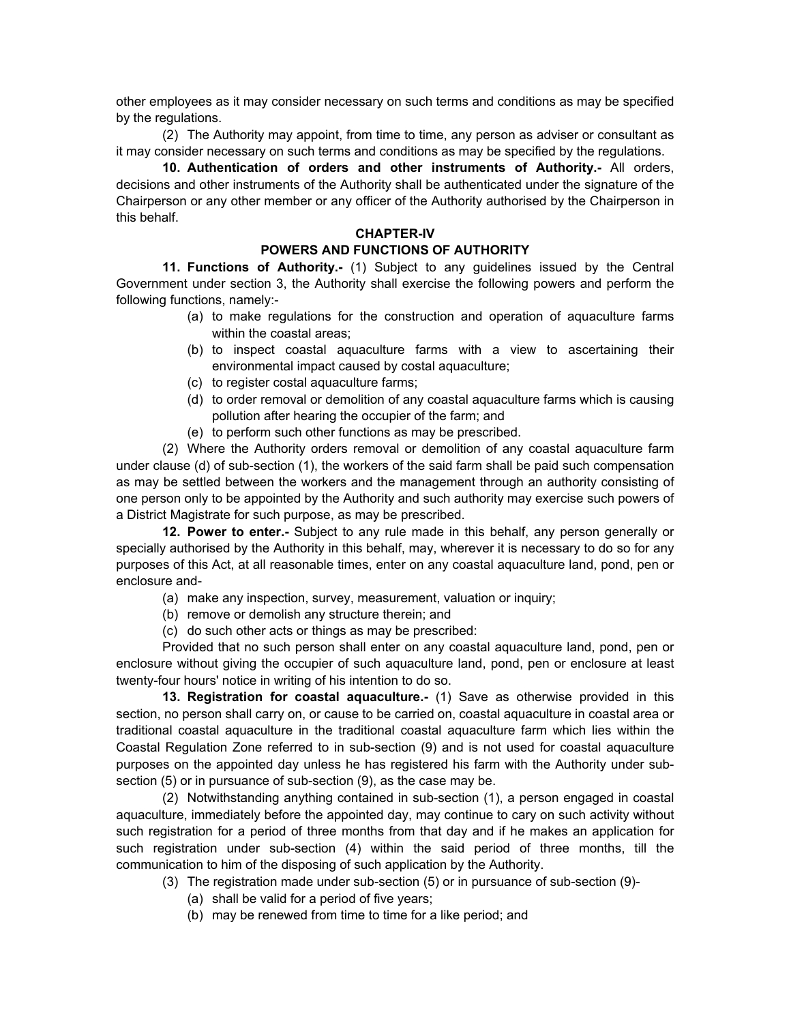other employees as it may consider necessary on such terms and conditions as may be specified by the regulations.

(2) The Authority may appoint, from time to time, any person as adviser or consultant as it may consider necessary on such terms and conditions as may be specified by the regulations.

**10. Authentication of orders and other instruments of Authority.-** All orders, decisions and other instruments of the Authority shall be authenticated under the signature of the Chairperson or any other member or any officer of the Authority authorised by the Chairperson in this behalf.

#### **CHAPTER-IV**

#### **POWERS AND FUNCTIONS OF AUTHORITY**

**11. Functions of Authority.-** (1) Subject to any guidelines issued by the Central Government under section 3, the Authority shall exercise the following powers and perform the following functions, namely:-

- (a) to make regulations for the construction and operation of aquaculture farms within the coastal areas;
- (b) to inspect coastal aquaculture farms with a view to ascertaining their environmental impact caused by costal aquaculture;
- (c) to register costal aquaculture farms;
- (d) to order removal or demolition of any coastal aquaculture farms which is causing pollution after hearing the occupier of the farm; and
- (e) to perform such other functions as may be prescribed.

(2) Where the Authority orders removal or demolition of any coastal aquaculture farm under clause (d) of sub-section (1), the workers of the said farm shall be paid such compensation as may be settled between the workers and the management through an authority consisting of one person only to be appointed by the Authority and such authority may exercise such powers of a District Magistrate for such purpose, as may be prescribed.

**12. Power to enter.-** Subject to any rule made in this behalf, any person generally or specially authorised by the Authority in this behalf, may, wherever it is necessary to do so for any purposes of this Act, at all reasonable times, enter on any coastal aquaculture land, pond, pen or enclosure and-

- (a) make any inspection, survey, measurement, valuation or inquiry;
- (b) remove or demolish any structure therein; and
- (c) do such other acts or things as may be prescribed:

Provided that no such person shall enter on any coastal aquaculture land, pond, pen or enclosure without giving the occupier of such aquaculture land, pond, pen or enclosure at least twenty-four hours' notice in writing of his intention to do so.

**13. Registration for coastal aquaculture.-** (1) Save as otherwise provided in this section, no person shall carry on, or cause to be carried on, coastal aquaculture in coastal area or traditional coastal aquaculture in the traditional coastal aquaculture farm which lies within the Coastal Regulation Zone referred to in sub-section (9) and is not used for coastal aquaculture purposes on the appointed day unless he has registered his farm with the Authority under subsection (5) or in pursuance of sub-section (9), as the case may be.

(2) Notwithstanding anything contained in sub-section (1), a person engaged in coastal aquaculture, immediately before the appointed day, may continue to cary on such activity without such registration for a period of three months from that day and if he makes an application for such registration under sub-section (4) within the said period of three months, till the communication to him of the disposing of such application by the Authority.

- (3) The registration made under sub-section (5) or in pursuance of sub-section (9)-
	- (a) shall be valid for a period of five years;
	- (b) may be renewed from time to time for a like period; and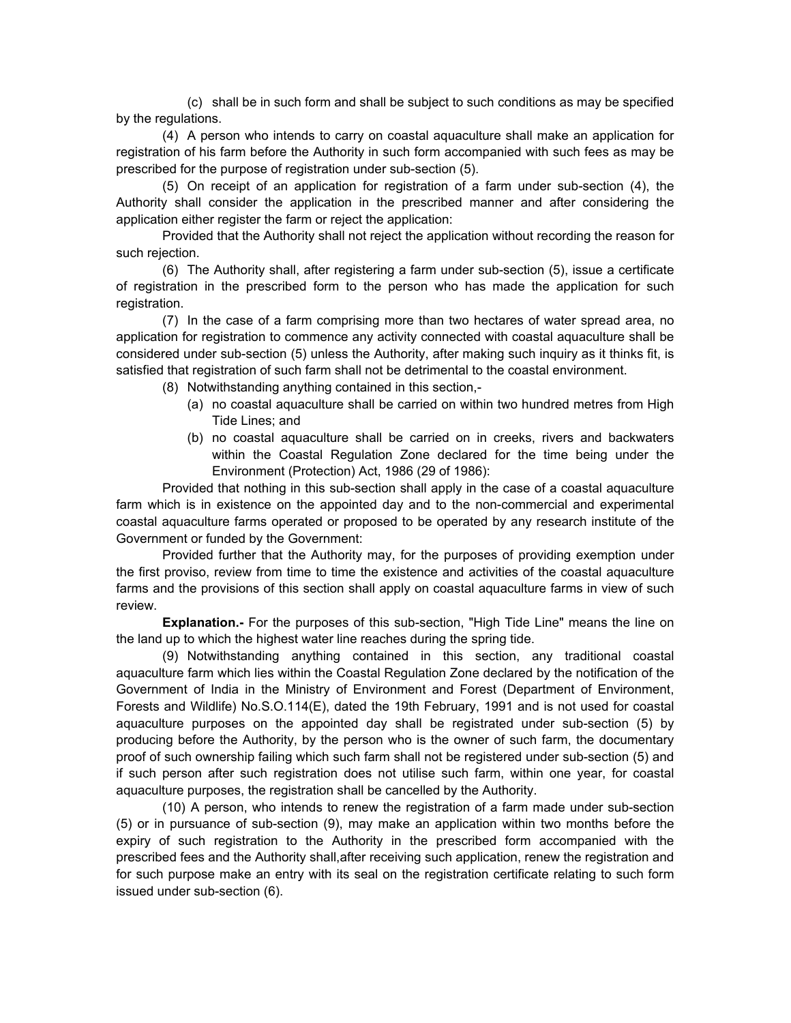(c) shall be in such form and shall be subject to such conditions as may be specified by the regulations.

(4) A person who intends to carry on coastal aquaculture shall make an application for registration of his farm before the Authority in such form accompanied with such fees as may be prescribed for the purpose of registration under sub-section (5).

(5) On receipt of an application for registration of a farm under sub-section (4), the Authority shall consider the application in the prescribed manner and after considering the application either register the farm or reject the application:

Provided that the Authority shall not reject the application without recording the reason for such rejection.

(6) The Authority shall, after registering a farm under sub-section (5), issue a certificate of registration in the prescribed form to the person who has made the application for such registration.

(7) In the case of a farm comprising more than two hectares of water spread area, no application for registration to commence any activity connected with coastal aquaculture shall be considered under sub-section (5) unless the Authority, after making such inquiry as it thinks fit, is satisfied that registration of such farm shall not be detrimental to the coastal environment.

(8) Notwithstanding anything contained in this section,-

- (a) no coastal aquaculture shall be carried on within two hundred metres from High Tide Lines; and
- (b) no coastal aquaculture shall be carried on in creeks, rivers and backwaters within the Coastal Regulation Zone declared for the time being under the Environment (Protection) Act, 1986 (29 of 1986):

Provided that nothing in this sub-section shall apply in the case of a coastal aquaculture farm which is in existence on the appointed day and to the non-commercial and experimental coastal aquaculture farms operated or proposed to be operated by any research institute of the Government or funded by the Government:

Provided further that the Authority may, for the purposes of providing exemption under the first proviso, review from time to time the existence and activities of the coastal aquaculture farms and the provisions of this section shall apply on coastal aquaculture farms in view of such review.

**Explanation.-** For the purposes of this sub-section, "High Tide Line" means the line on the land up to which the highest water line reaches during the spring tide.

(9) Notwithstanding anything contained in this section, any traditional coastal aquaculture farm which lies within the Coastal Regulation Zone declared by the notification of the Government of India in the Ministry of Environment and Forest (Department of Environment, Forests and Wildlife) No.S.O.114(E), dated the 19th February, 1991 and is not used for coastal aquaculture purposes on the appointed day shall be registrated under sub-section (5) by producing before the Authority, by the person who is the owner of such farm, the documentary proof of such ownership failing which such farm shall not be registered under sub-section (5) and if such person after such registration does not utilise such farm, within one year, for coastal aquaculture purposes, the registration shall be cancelled by the Authority.

(10) A person, who intends to renew the registration of a farm made under sub-section (5) or in pursuance of sub-section (9), may make an application within two months before the expiry of such registration to the Authority in the prescribed form accompanied with the prescribed fees and the Authority shall,after receiving such application, renew the registration and for such purpose make an entry with its seal on the registration certificate relating to such form issued under sub-section (6).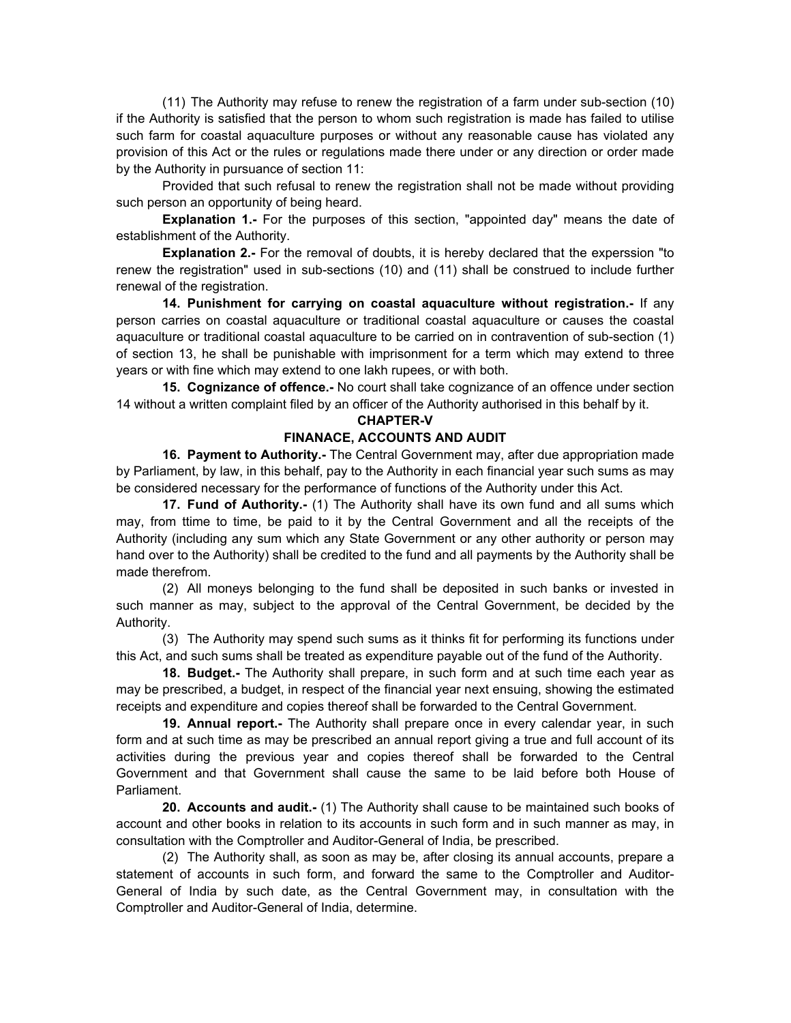(11) The Authority may refuse to renew the registration of a farm under sub-section (10) if the Authority is satisfied that the person to whom such registration is made has failed to utilise such farm for coastal aquaculture purposes or without any reasonable cause has violated any provision of this Act or the rules or regulations made there under or any direction or order made by the Authority in pursuance of section 11:

Provided that such refusal to renew the registration shall not be made without providing such person an opportunity of being heard.

**Explanation 1.-** For the purposes of this section, "appointed day" means the date of establishment of the Authority.

**Explanation 2.-** For the removal of doubts, it is hereby declared that the experssion "to renew the registration" used in sub-sections (10) and (11) shall be construed to include further renewal of the registration.

**14. Punishment for carrying on coastal aquaculture without registration.-** If any person carries on coastal aquaculture or traditional coastal aquaculture or causes the coastal aquaculture or traditional coastal aquaculture to be carried on in contravention of sub-section (1) of section 13, he shall be punishable with imprisonment for a term which may extend to three years or with fine which may extend to one lakh rupees, or with both.

**15. Cognizance of offence.-** No court shall take cognizance of an offence under section 14 without a written complaint filed by an officer of the Authority authorised in this behalf by it.

#### **CHAPTER-V**

#### **FINANACE, ACCOUNTS AND AUDIT**

**16. Payment to Authority.-** The Central Government may, after due appropriation made by Parliament, by law, in this behalf, pay to the Authority in each financial year such sums as may be considered necessary for the performance of functions of the Authority under this Act.

**17. Fund of Authority.-** (1) The Authority shall have its own fund and all sums which may, from ttime to time, be paid to it by the Central Government and all the receipts of the Authority (including any sum which any State Government or any other authority or person may hand over to the Authority) shall be credited to the fund and all payments by the Authority shall be made therefrom.

(2) All moneys belonging to the fund shall be deposited in such banks or invested in such manner as may, subject to the approval of the Central Government, be decided by the Authority.

(3) The Authority may spend such sums as it thinks fit for performing its functions under this Act, and such sums shall be treated as expenditure payable out of the fund of the Authority.

 **18. Budget.-** The Authority shall prepare, in such form and at such time each year as may be prescribed, a budget, in respect of the financial year next ensuing, showing the estimated receipts and expenditure and copies thereof shall be forwarded to the Central Government.

 **19. Annual report.-** The Authority shall prepare once in every calendar year, in such form and at such time as may be prescribed an annual report giving a true and full account of its activities during the previous year and copies thereof shall be forwarded to the Central Government and that Government shall cause the same to be laid before both House of Parliament.

**20. Accounts and audit.-** (1) The Authority shall cause to be maintained such books of account and other books in relation to its accounts in such form and in such manner as may, in consultation with the Comptroller and Auditor-General of India, be prescribed.

(2) The Authority shall, as soon as may be, after closing its annual accounts, prepare a statement of accounts in such form, and forward the same to the Comptroller and Auditor-General of India by such date, as the Central Government may, in consultation with the Comptroller and Auditor-General of India, determine.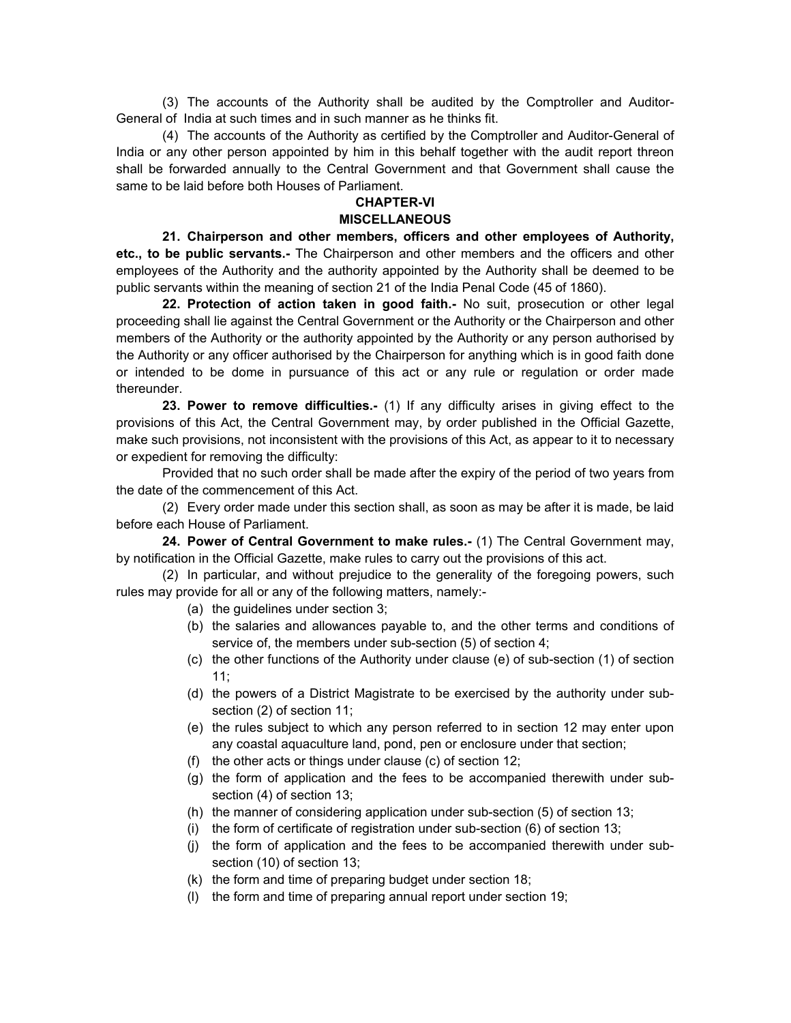(3) The accounts of the Authority shall be audited by the Comptroller and Auditor-General of India at such times and in such manner as he thinks fit.

(4) The accounts of the Authority as certified by the Comptroller and Auditor-General of India or any other person appointed by him in this behalf together with the audit report threon shall be forwarded annually to the Central Government and that Government shall cause the same to be laid before both Houses of Parliament.

#### **CHAPTER-VI MISCELLANEOUS**

**21. Chairperson and other members, officers and other employees of Authority, etc., to be public servants.-** The Chairperson and other members and the officers and other employees of the Authority and the authority appointed by the Authority shall be deemed to be public servants within the meaning of section 21 of the India Penal Code (45 of 1860).

**22. Protection of action taken in good faith.-** No suit, prosecution or other legal proceeding shall lie against the Central Government or the Authority or the Chairperson and other members of the Authority or the authority appointed by the Authority or any person authorised by the Authority or any officer authorised by the Chairperson for anything which is in good faith done or intended to be dome in pursuance of this act or any rule or regulation or order made thereunder.

**23. Power to remove difficulties.-** (1) If any difficulty arises in giving effect to the provisions of this Act, the Central Government may, by order published in the Official Gazette, make such provisions, not inconsistent with the provisions of this Act, as appear to it to necessary or expedient for removing the difficulty:

Provided that no such order shall be made after the expiry of the period of two years from the date of the commencement of this Act.

(2) Every order made under this section shall, as soon as may be after it is made, be laid before each House of Parliament.

**24. Power of Central Government to make rules.-** (1) The Central Government may, by notification in the Official Gazette, make rules to carry out the provisions of this act.

(2) In particular, and without prejudice to the generality of the foregoing powers, such rules may provide for all or any of the following matters, namely:-

- (a) the guidelines under section 3;
- (b) the salaries and allowances payable to, and the other terms and conditions of service of, the members under sub-section (5) of section 4;
- (c) the other functions of the Authority under clause (e) of sub-section (1) of section 11;
- (d) the powers of a District Magistrate to be exercised by the authority under subsection (2) of section 11;
- (e) the rules subject to which any person referred to in section 12 may enter upon any coastal aquaculture land, pond, pen or enclosure under that section;
- (f) the other acts or things under clause (c) of section 12;
- (g) the form of application and the fees to be accompanied therewith under subsection (4) of section 13;
- (h) the manner of considering application under sub-section (5) of section 13;
- (i) the form of certificate of registration under sub-section (6) of section 13;
- (j) the form of application and the fees to be accompanied therewith under subsection (10) of section 13;
- (k) the form and time of preparing budget under section 18;
- (l) the form and time of preparing annual report under section 19;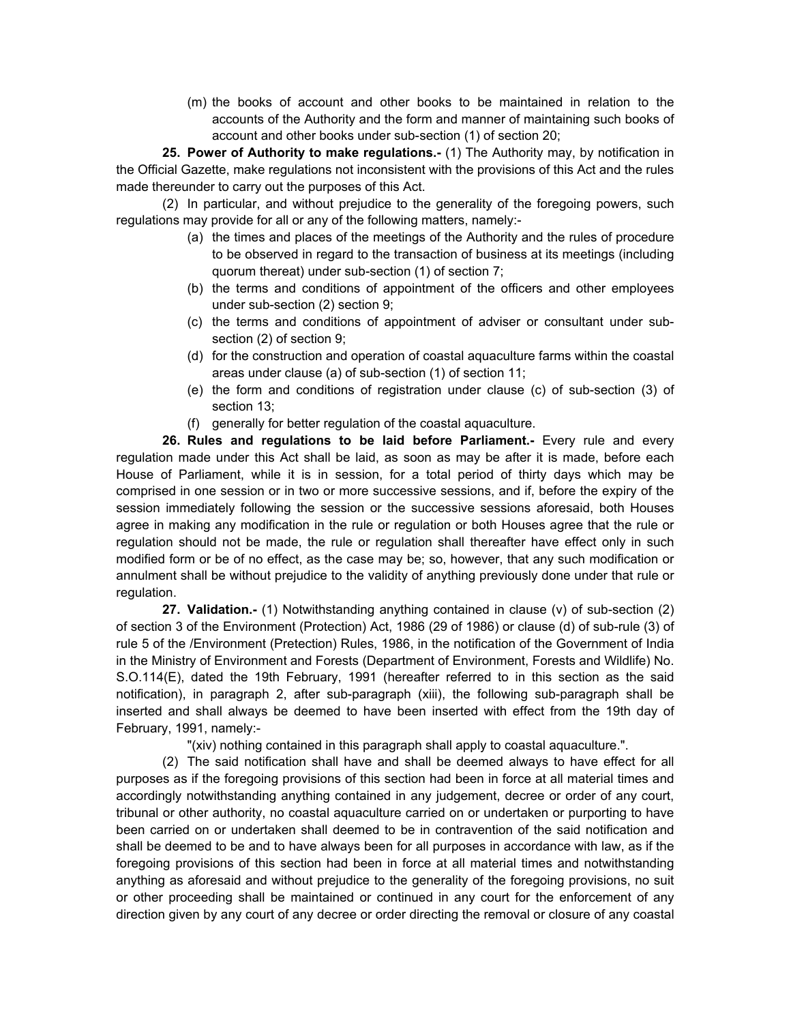(m) the books of account and other books to be maintained in relation to the accounts of the Authority and the form and manner of maintaining such books of account and other books under sub-section (1) of section 20;

**25. Power of Authority to make regulations.-** (1) The Authority may, by notification in the Official Gazette, make regulations not inconsistent with the provisions of this Act and the rules made thereunder to carry out the purposes of this Act.

(2) In particular, and without prejudice to the generality of the foregoing powers, such regulations may provide for all or any of the following matters, namely:-

- (a) the times and places of the meetings of the Authority and the rules of procedure to be observed in regard to the transaction of business at its meetings (including quorum thereat) under sub-section (1) of section 7;
- (b) the terms and conditions of appointment of the officers and other employees under sub-section (2) section 9;
- (c) the terms and conditions of appointment of adviser or consultant under subsection (2) of section 9;
- (d) for the construction and operation of coastal aquaculture farms within the coastal areas under clause (a) of sub-section (1) of section 11;
- (e) the form and conditions of registration under clause (c) of sub-section (3) of section 13;
- (f) generally for better regulation of the coastal aquaculture.

**26. Rules and regulations to be laid before Parliament.-** Every rule and every regulation made under this Act shall be laid, as soon as may be after it is made, before each House of Parliament, while it is in session, for a total period of thirty days which may be comprised in one session or in two or more successive sessions, and if, before the expiry of the session immediately following the session or the successive sessions aforesaid, both Houses agree in making any modification in the rule or regulation or both Houses agree that the rule or regulation should not be made, the rule or regulation shall thereafter have effect only in such modified form or be of no effect, as the case may be; so, however, that any such modification or annulment shall be without prejudice to the validity of anything previously done under that rule or regulation.

 **27. Validation.-** (1) Notwithstanding anything contained in clause (v) of sub-section (2) of section 3 of the Environment (Protection) Act, 1986 (29 of 1986) or clause (d) of sub-rule (3) of rule 5 of the /Environment (Pretection) Rules, 1986, in the notification of the Government of India in the Ministry of Environment and Forests (Department of Environment, Forests and Wildlife) No. S.O.114(E), dated the 19th February, 1991 (hereafter referred to in this section as the said notification), in paragraph 2, after sub-paragraph (xiii), the following sub-paragraph shall be inserted and shall always be deemed to have been inserted with effect from the 19th day of February, 1991, namely:-

"(xiv) nothing contained in this paragraph shall apply to coastal aquaculture.".

(2) The said notification shall have and shall be deemed always to have effect for all purposes as if the foregoing provisions of this section had been in force at all material times and accordingly notwithstanding anything contained in any judgement, decree or order of any court, tribunal or other authority, no coastal aquaculture carried on or undertaken or purporting to have been carried on or undertaken shall deemed to be in contravention of the said notification and shall be deemed to be and to have always been for all purposes in accordance with law, as if the foregoing provisions of this section had been in force at all material times and notwithstanding anything as aforesaid and without prejudice to the generality of the foregoing provisions, no suit or other proceeding shall be maintained or continued in any court for the enforcement of any direction given by any court of any decree or order directing the removal or closure of any coastal